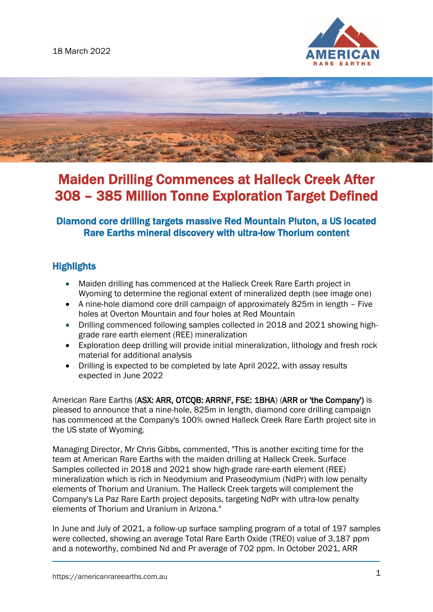



# Maiden Drilling Commences at Halleck Creek After 308 – 385 Million Tonne Exploration Target Defined

# Diamond core drilling targets massive Red Mountain Pluton, a US located Rare Earths mineral discovery with ultra-low Thorium content

# **Highlights**

- Maiden drilling has commenced at the Halleck Creek Rare Earth project in Wyoming to determine the regional extent of mineralized depth (see image one)
- A nine-hole diamond core drill campaign of approximately 825m in length Five holes at Overton Mountain and four holes at Red Mountain
- Drilling commenced following samples collected in 2018 and 2021 showing highgrade rare earth element (REE) mineralization
- Exploration deep drilling will provide initial mineralization, lithology and fresh rock material for additional analysis
- Drilling is expected to be completed by late April 2022, with assay results expected in June 2022

American Rare Earths (ASX: ARR, OTCQB: ARRNF, FSE: 1BHA) (ARR or 'the Company') is pleased to announce that a nine-hole, 825m in length, diamond core drilling campaign has commenced at the Company's 100% owned Halleck Creek Rare Earth project site in the US state of Wyoming.

Managing Director, Mr Chris Gibbs, commented, "This is another exciting time for the team at American Rare Earths with the maiden drilling at Halleck Creek. Surface Samples collected in 2018 and 2021 show high-grade rare-earth element (REE) mineralization which is rich in Neodymium and Praseodymium (NdPr) with low penalty elements of Thorium and Uranium. The Halleck Creek targets will complement the Company's La Paz Rare Earth project deposits, targeting NdPr with ultra-low penalty elements of Thorium and Uranium in Arizona."

In June and July of 2021, a follow-up surface sampling program of a total of 197 samples were collected, showing an average Total Rare Earth Oxide (TREO) value of 3,187 ppm and a noteworthy, combined Nd and Pr average of 702 ppm. In October 2021, ARR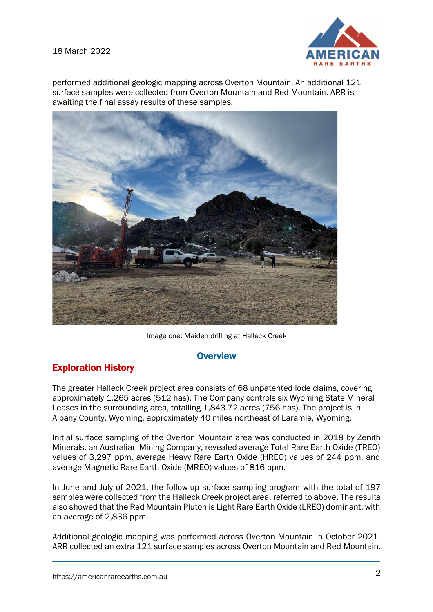#### 18 March 2022



performed additional geologic mapping across Overton Mountain. An additional 121 surface samples were collected from Overton Mountain and Red Mountain. ARR is awaiting the final assay results of these samples.



Image one: Maiden drilling at Halleck Creek

#### **Overview**

# Exploration History

The greater Halleck Creek project area consists of 68 unpatented lode claims, covering approximately 1,265 acres (512 has). The Company controls six Wyoming State Mineral Leases in the surrounding area, totalling 1,843.72 acres (756 has). The project is in Albany County, Wyoming, approximately 40 miles northeast of Laramie, Wyoming.

Initial surface sampling of the Overton Mountain area was conducted in 2018 by Zenith Minerals, an Australian Mining Company, revealed average Total Rare Earth Oxide (TREO) values of 3,297 ppm, average Heavy Rare Earth Oxide (HREO) values of 244 ppm, and average Magnetic Rare Earth Oxide (MREO) values of 816 ppm.

In June and July of 2021, the follow-up surface sampling program with the total of 197 samples were collected from the Halleck Creek project area, referred to above. The results also showed that the Red Mountain Pluton is Light Rare Earth Oxide (LREO) dominant, with an average of 2,836 ppm.

Additional geologic mapping was performed across Overton Mountain in October 2021. ARR collected an extra 121 surface samples across Overton Mountain and Red Mountain.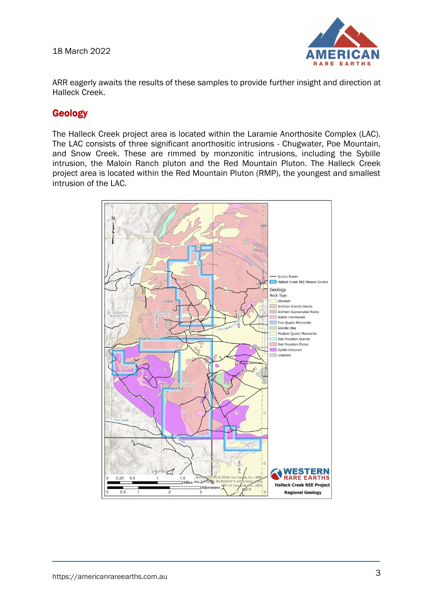18 March 2022



ARR eagerly awaits the results of these samples to provide further insight and direction at Halleck Creek.

### Geology

The Halleck Creek project area is located within the Laramie Anorthosite Complex (LAC). The LAC consists of three significant anorthositic intrusions - Chugwater, Poe Mountain, and Snow Creek. These are rimmed by monzonitic intrusions, including the Sybille intrusion, the Maloin Ranch pluton and the Red Mountain Pluton. The Halleck Creek project area is located within the Red Mountain Pluton (RMP), the youngest and smallest intrusion of the LAC.